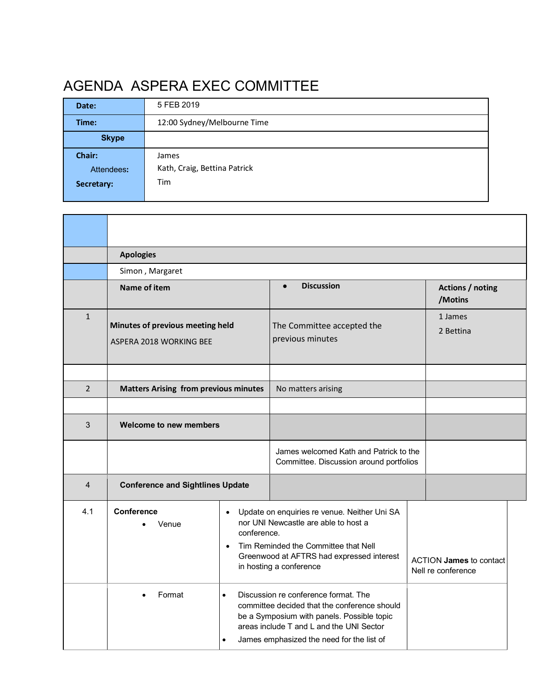## AGENDA ASPERA EXEC COMMITTEE

| Date:        | 5 FEB 2019                   |  |  |  |  |
|--------------|------------------------------|--|--|--|--|
| Time:        | 12:00 Sydney/Melbourne Time  |  |  |  |  |
| <b>Skype</b> |                              |  |  |  |  |
| Chair:       | James                        |  |  |  |  |
| Attendees:   | Kath, Craig, Bettina Patrick |  |  |  |  |
|              |                              |  |  |  |  |
| Secretary:   | Tim                          |  |  |  |  |

|                | <b>Apologies</b>                                            |                                                                                                                                                                                                                                                                                                                                                                                                                                                                                           |                                                                                   |  |                                                      |  |  |  |
|----------------|-------------------------------------------------------------|-------------------------------------------------------------------------------------------------------------------------------------------------------------------------------------------------------------------------------------------------------------------------------------------------------------------------------------------------------------------------------------------------------------------------------------------------------------------------------------------|-----------------------------------------------------------------------------------|--|------------------------------------------------------|--|--|--|
|                | Simon, Margaret                                             |                                                                                                                                                                                                                                                                                                                                                                                                                                                                                           |                                                                                   |  |                                                      |  |  |  |
|                | Name of item                                                |                                                                                                                                                                                                                                                                                                                                                                                                                                                                                           | <b>Discussion</b><br>$\bullet$                                                    |  | Actions / noting<br>/Motins                          |  |  |  |
| $\mathbf{1}$   | Minutes of previous meeting held<br>ASPERA 2018 WORKING BEE |                                                                                                                                                                                                                                                                                                                                                                                                                                                                                           | The Committee accepted the<br>previous minutes                                    |  | 1 James<br>2 Bettina                                 |  |  |  |
|                |                                                             |                                                                                                                                                                                                                                                                                                                                                                                                                                                                                           |                                                                                   |  |                                                      |  |  |  |
| $\overline{2}$ | <b>Matters Arising from previous minutes</b>                |                                                                                                                                                                                                                                                                                                                                                                                                                                                                                           | No matters arising                                                                |  |                                                      |  |  |  |
| 3              | Welcome to new members                                      |                                                                                                                                                                                                                                                                                                                                                                                                                                                                                           |                                                                                   |  |                                                      |  |  |  |
|                |                                                             |                                                                                                                                                                                                                                                                                                                                                                                                                                                                                           | James welcomed Kath and Patrick to the<br>Committee. Discussion around portfolios |  |                                                      |  |  |  |
| $\overline{4}$ | <b>Conference and Sightlines Update</b>                     |                                                                                                                                                                                                                                                                                                                                                                                                                                                                                           |                                                                                   |  |                                                      |  |  |  |
| 4.1            | <b>Conference</b><br>Venue<br>Format                        | Update on enquiries re venue. Neither Uni SA<br>$\bullet$<br>nor UNI Newcastle are able to host a<br>conference.<br>Tim Reminded the Committee that Nell<br>$\bullet$<br>Greenwood at AFTRS had expressed interest<br>in hosting a conference<br>Discussion re conference format. The<br>$\bullet$<br>committee decided that the conference should<br>be a Symposium with panels. Possible topic<br>areas include T and L and the UNI Sector<br>James emphasized the need for the list of |                                                                                   |  | <b>ACTION James to contact</b><br>Nell re conference |  |  |  |